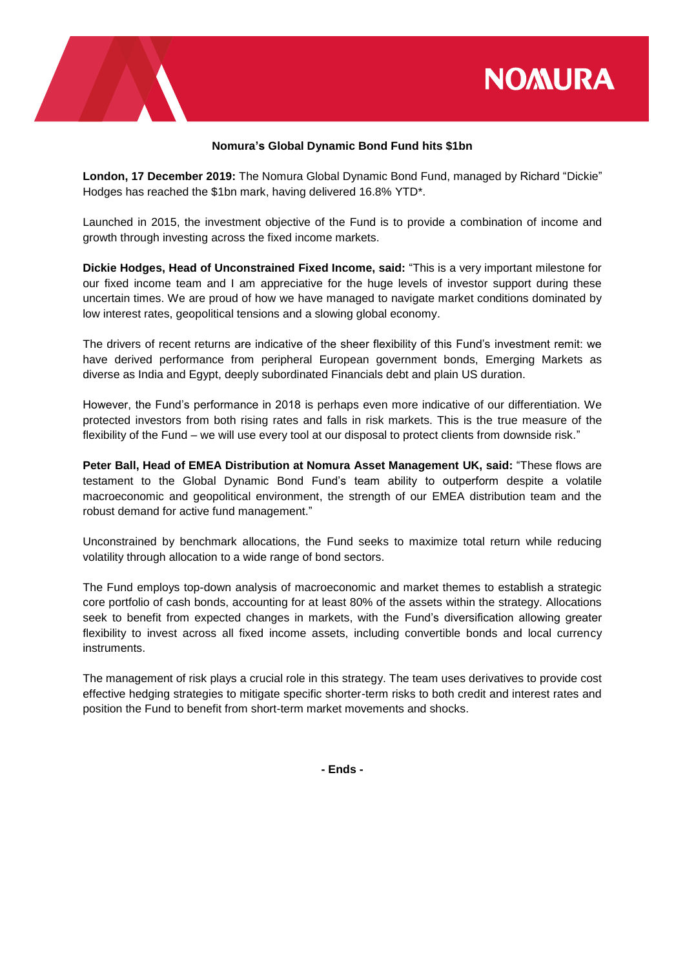



## **Nomura's Global Dynamic Bond Fund hits \$1bn**

**London, 17 December 2019:** The Nomura Global Dynamic Bond Fund, managed by Richard "Dickie" Hodges has reached the \$1bn mark, having delivered 16.8% YTD\*.

Launched in 2015, the investment objective of the Fund is to provide a combination of income and growth through investing across the fixed income markets.

**Dickie Hodges, Head of Unconstrained Fixed Income, said:** "This is a very important milestone for our fixed income team and I am appreciative for the huge levels of investor support during these uncertain times. We are proud of how we have managed to navigate market conditions dominated by low interest rates, geopolitical tensions and a slowing global economy.

The drivers of recent returns are indicative of the sheer flexibility of this Fund's investment remit: we have derived performance from peripheral European government bonds, Emerging Markets as diverse as India and Egypt, deeply subordinated Financials debt and plain US duration.

However, the Fund's performance in 2018 is perhaps even more indicative of our differentiation. We protected investors from both rising rates and falls in risk markets. This is the true measure of the flexibility of the Fund – we will use every tool at our disposal to protect clients from downside risk."

**Peter Ball, Head of EMEA Distribution at Nomura Asset Management UK, said:** "These flows are testament to the Global Dynamic Bond Fund's team ability to outperform despite a volatile macroeconomic and geopolitical environment, the strength of our EMEA distribution team and the robust demand for active fund management."

Unconstrained by benchmark allocations, the Fund seeks to maximize total return while reducing volatility through allocation to a wide range of bond sectors.

The Fund employs top-down analysis of macroeconomic and market themes to establish a strategic core portfolio of cash bonds, accounting for at least 80% of the assets within the strategy. Allocations seek to benefit from expected changes in markets, with the Fund's diversification allowing greater flexibility to invest across all fixed income assets, including convertible bonds and local currency instruments.

The management of risk plays a crucial role in this strategy. The team uses derivatives to provide cost effective hedging strategies to mitigate specific shorter-term risks to both credit and interest rates and position the Fund to benefit from short-term market movements and shocks.

**- Ends -**